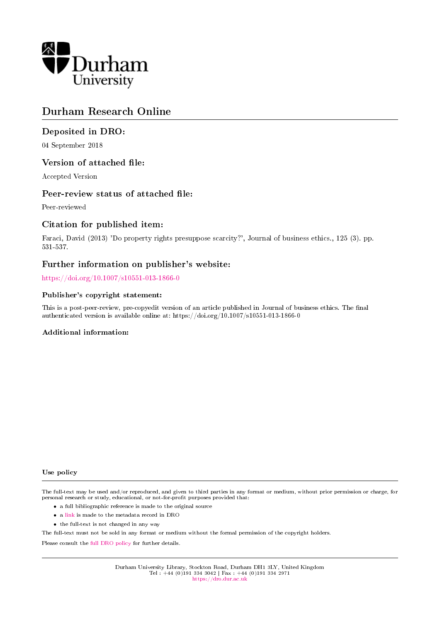

# Durham Research Online

# Deposited in DRO:

04 September 2018

# Version of attached file:

Accepted Version

# Peer-review status of attached file:

Peer-reviewed

# Citation for published item:

Faraci, David (2013) 'Do property rights presuppose scarcity?', Journal of business ethics., 125 (3). pp. 531-537.

# Further information on publisher's website:

<https://doi.org/10.1007/s10551-013-1866-0>

### Publisher's copyright statement:

This is a post-peer-review, pre-copyedit version of an article published in Journal of business ethics. The final authenticated version is available online at: https://doi.org/10.1007/s10551-013-1866-0

# Additional information:

Use policy

The full-text may be used and/or reproduced, and given to third parties in any format or medium, without prior permission or charge, for personal research or study, educational, or not-for-profit purposes provided that:

- a full bibliographic reference is made to the original source
- a [link](http://dro.dur.ac.uk/26071/) is made to the metadata record in DRO
- the full-text is not changed in any way

The full-text must not be sold in any format or medium without the formal permission of the copyright holders.

Please consult the [full DRO policy](https://dro.dur.ac.uk/policies/usepolicy.pdf) for further details.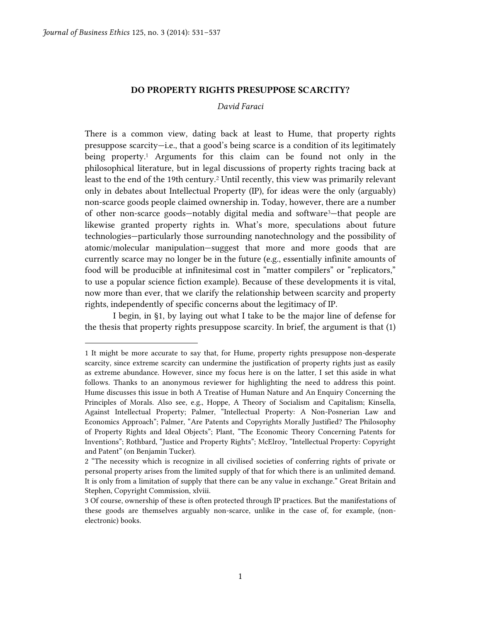$\overline{a}$ 

### **DO PROPERTY RIGHTS PRESUPPOSE SCARCITY?**

#### *David Faraci*

There is a common view, dating back at least to Hume, that property rights presuppose scarcity—i.e., that a good's being scarce is a condition of its legitimately being property.<sup>1</sup> Arguments for this claim can be found not only in the philosophical literature, but in legal discussions of property rights tracing back at least to the end of the 19th century.<sup>2</sup> Until recently, this view was primarily relevant only in debates about Intellectual Property (IP), for ideas were the only (arguably) non-scarce goods people claimed ownership in. Today, however, there are a number of other non-scarce goods—notably digital media and software3—that people are likewise granted property rights in. What's more, speculations about future technologies—particularly those surrounding nanotechnology and the possibility of atomic/molecular manipulation—suggest that more and more goods that are currently scarce may no longer be in the future (e.g., essentially infinite amounts of food will be producible at infinitesimal cost in "matter compilers" or "replicators," to use a popular science fiction example). Because of these developments it is vital, now more than ever, that we clarify the relationship between scarcity and property rights, independently of specific concerns about the legitimacy of IP.

I begin, in §1, by laying out what I take to be the major line of defense for the thesis that property rights presuppose scarcity. In brief, the argument is that (1)

<sup>1</sup> It might be more accurate to say that, for Hume, property rights presuppose non-desperate scarcity, since extreme scarcity can undermine the justification of property rights just as easily as extreme abundance. However, since my focus here is on the latter, I set this aside in what follows. Thanks to an anonymous reviewer for highlighting the need to address this point. Hume discusses this issue in both A Treatise of Human Nature and An Enquiry Concerning the Principles of Morals. Also see, e.g., Hoppe, A Theory of Socialism and Capitalism; Kinsella, Against Intellectual Property; Palmer, "Intellectual Property: A Non-Posnerian Law and Economics Approach"; Palmer, "Are Patents and Copyrights Morally Justified? The Philosophy of Property Rights and Ideal Objects"; Plant, "The Economic Theory Concerning Patents for Inventions"; Rothbard, "Justice and Property Rights"; McElroy, "Intellectual Property: Copyright and Patent" (on Benjamin Tucker).

<sup>2</sup> "The necessity which is recognize in all civilised societies of conferring rights of private or personal property arises from the limited supply of that for which there is an unlimited demand. It is only from a limitation of supply that there can be any value in exchange." Great Britain and Stephen, Copyright Commission, xlviii.

<sup>3</sup> Of course, ownership of these is often protected through IP practices. But the manifestations of these goods are themselves arguably non-scarce, unlike in the case of, for example, (nonelectronic) books.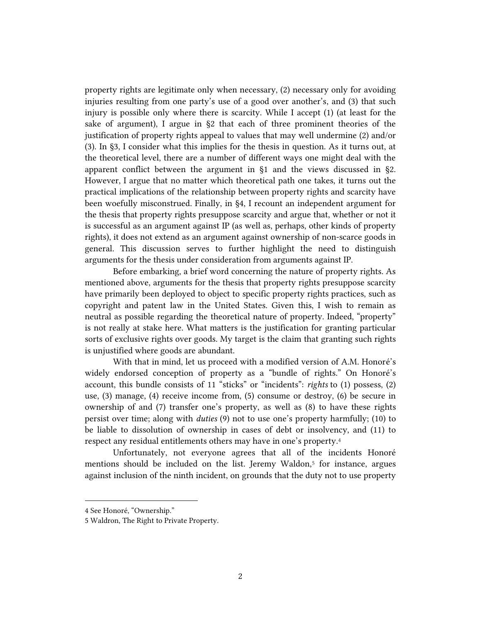property rights are legitimate only when necessary, (2) necessary only for avoiding injuries resulting from one party's use of a good over another's, and (3) that such injury is possible only where there is scarcity. While I accept (1) (at least for the sake of argument), I argue in §2 that each of three prominent theories of the justification of property rights appeal to values that may well undermine (2) and/or (3). In §3, I consider what this implies for the thesis in question. As it turns out, at the theoretical level, there are a number of different ways one might deal with the apparent conflict between the argument in §1 and the views discussed in §2. However, I argue that no matter which theoretical path one takes, it turns out the practical implications of the relationship between property rights and scarcity have been woefully misconstrued. Finally, in §4, I recount an independent argument for the thesis that property rights presuppose scarcity and argue that, whether or not it is successful as an argument against IP (as well as, perhaps, other kinds of property rights), it does not extend as an argument against ownership of non-scarce goods in general. This discussion serves to further highlight the need to distinguish arguments for the thesis under consideration from arguments against IP.

Before embarking, a brief word concerning the nature of property rights. As mentioned above, arguments for the thesis that property rights presuppose scarcity have primarily been deployed to object to specific property rights practices, such as copyright and patent law in the United States. Given this, I wish to remain as neutral as possible regarding the theoretical nature of property. Indeed, "property" is not really at stake here. What matters is the justification for granting particular sorts of exclusive rights over goods. My target is the claim that granting such rights is unjustified where goods are abundant.

With that in mind, let us proceed with a modified version of A.M. Honoré's widely endorsed conception of property as a "bundle of rights." On Honoré's account, this bundle consists of 11 "sticks" or "incidents": *rights* to (1) possess, (2) use, (3) manage, (4) receive income from, (5) consume or destroy, (6) be secure in ownership of and (7) transfer one's property, as well as (8) to have these rights persist over time; along with *duties* (9) not to use one's property harmfully; (10) to be liable to dissolution of ownership in cases of debt or insolvency, and (11) to respect any residual entitlements others may have in one's property. 4

Unfortunately, not everyone agrees that all of the incidents Honoré mentions should be included on the list. Jeremy Waldon,<sup>5</sup> for instance, argues against inclusion of the ninth incident, on grounds that the duty not to use property

<sup>4</sup> See Honoré, "Ownership."

<sup>5</sup> Waldron, The Right to Private Property.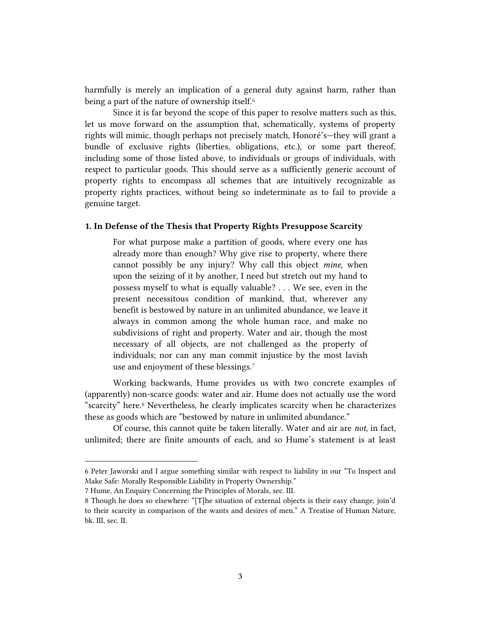harmfully is merely an implication of a general duty against harm, rather than being a part of the nature of ownership itself.<sup>6</sup>

Since it is far beyond the scope of this paper to resolve matters such as this, let us move forward on the assumption that, schematically, systems of property rights will mimic, though perhaps not precisely match, Honoré's—they will grant a bundle of exclusive rights (liberties, obligations, etc.), or some part thereof, including some of those listed above, to individuals or groups of individuals, with respect to particular goods. This should serve as a sufficiently generic account of property rights to encompass all schemes that are intuitively recognizable as property rights practices, without being so indeterminate as to fail to provide a genuine target.

### **1. In Defense of the Thesis that Property Rights Presuppose Scarcity**

For what purpose make a partition of goods, where every one has already more than enough? Why give rise to property, where there cannot possibly be any injury? Why call this object *mine,* when upon the seizing of it by another, I need but stretch out my hand to possess myself to what is equally valuable? . . . We see, even in the present necessitous condition of mankind, that, wherever any benefit is bestowed by nature in an unlimited abundance, we leave it always in common among the whole human race, and make no subdivisions of right and property. Water and air, though the most necessary of all objects, are not challenged as the property of individuals; nor can any man commit injustice by the most lavish use and enjoyment of these blessings.<sup>7</sup>

Working backwards, Hume provides us with two concrete examples of (apparently) non-scarce goods: water and air. Hume does not actually use the word "scarcity" here.<sup>8</sup> Nevertheless, he clearly implicates scarcity when he characterizes these as goods which are "bestowed by nature in unlimited abundance."

Of course, this cannot quite be taken literally. Water and air are *not,* in fact, unlimited; there are finite amounts of each, and so Hume's statement is at least

<sup>6</sup> Peter Jaworski and I argue something similar with respect to liability in our "To Inspect and Make Safe: Morally Responsible Liability in Property Ownership."

<sup>7</sup> Hume, An Enquiry Concerning the Principles of Morals, sec. III.

<sup>8</sup> Though he does so elsewhere: "[T]he situation of external objects is their easy change, join'd to their scarcity in comparison of the wants and desires of men." A Treatise of Human Nature, bk. III, sec. II.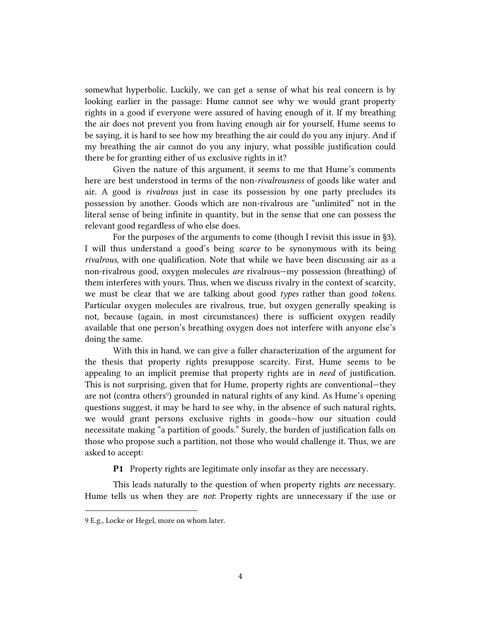somewhat hyperbolic. Luckily, we can get a sense of what his real concern is by looking earlier in the passage: Hume cannot see why we would grant property rights in a good if everyone were assured of having enough of it. If my breathing the air does not prevent you from having enough air for yourself, Hume seems to be saying, it is hard to see how my breathing the air could do you any injury. And if my breathing the air cannot do you any injury, what possible justification could there be for granting either of us exclusive rights in it?

Given the nature of this argument, it seems to me that Hume's comments here are best understood in terms of the non-*rivalrousness* of goods like water and air. A good is *rivalrous* just in case its possession by one party precludes its possession by another. Goods which are non-rivalrous are "unlimited" not in the literal sense of being infinite in quantity, but in the sense that one can possess the relevant good regardless of who else does.

For the purposes of the arguments to come (though I revisit this issue in §3), I will thus understand a good's being *scarce* to be synonymous with its being *rivalrous*, with one qualification. Note that while we have been discussing air as a non-rivalrous good, oxygen molecules *are* rivalrous—my possession (breathing) of them interferes with yours. Thus, when we discuss rivalry in the context of scarcity, we must be clear that we are talking about good *types* rather than good *tokens.*  Particular oxygen molecules are rivalrous, true, but oxygen generally speaking is not, because (again, in most circumstances) there is sufficient oxygen readily available that one person's breathing oxygen does not interfere with anyone else's doing the same.

With this in hand, we can give a fuller characterization of the argument for the thesis that property rights presuppose scarcity. First, Hume seems to be appealing to an implicit premise that property rights are in *need* of justification. This is not surprising, given that for Hume, property rights are conventional—they are not (contra others<sup>9</sup>) grounded in natural rights of any kind. As Hume's opening questions suggest, it may be hard to see why, in the absence of such natural rights, we would grant persons exclusive rights in goods—how our situation could necessitate making "a partition of goods." Surely, the burden of justification falls on those who propose such a partition, not those who would challenge it. Thus, we are asked to accept:

**P1** Property rights are legitimate only insofar as they are necessary.

This leads naturally to the question of when property rights *are* necessary. Hume tells us when they are *not*: Property rights are unnecessary if the use or

<sup>9</sup> E.g., Locke or Hegel, more on whom later.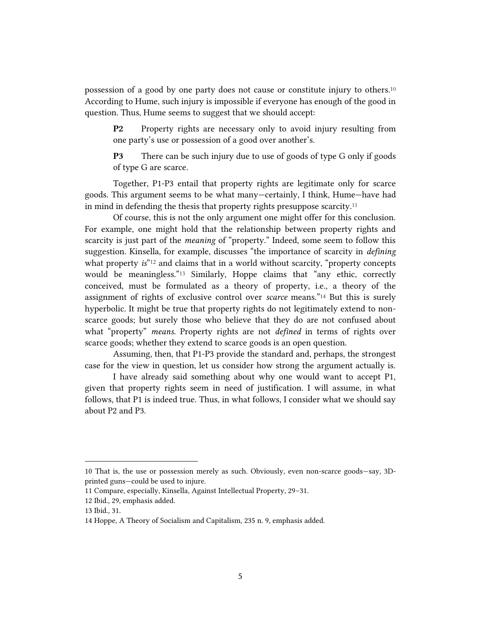possession of a good by one party does not cause or constitute injury to others.<sup>10</sup> According to Hume, such injury is impossible if everyone has enough of the good in question. Thus, Hume seems to suggest that we should accept:

**P2** Property rights are necessary only to avoid injury resulting from one party's use or possession of a good over another's.

**P3** There can be such injury due to use of goods of type G only if goods of type G are scarce.

Together, P1-P3 entail that property rights are legitimate only for scarce goods. This argument seems to be what many—certainly, I think, Hume—have had in mind in defending the thesis that property rights presuppose scarcity.<sup>11</sup>

Of course, this is not the only argument one might offer for this conclusion. For example, one might hold that the relationship between property rights and scarcity is just part of the *meaning* of "property." Indeed, some seem to follow this suggestion. Kinsella, for example, discusses "the importance of scarcity in *defining* what property *is*<sup>"12</sup> and claims that in a world without scarcity, "property concepts would be meaningless."<sup>13</sup> Similarly, Hoppe claims that "any ethic, correctly conceived, must be formulated as a theory of property, i.e., a theory of the assignment of rights of exclusive control over *scarce* means."<sup>14</sup> But this is surely hyperbolic. It might be true that property rights do not legitimately extend to nonscarce goods; but surely those who believe that they do are not confused about what "property" *means.* Property rights are not *defined* in terms of rights over scarce goods; whether they extend to scarce goods is an open question.

Assuming, then, that P1-P3 provide the standard and, perhaps, the strongest case for the view in question, let us consider how strong the argument actually is.

I have already said something about why one would want to accept P1, given that property rights seem in need of justification. I will assume, in what follows, that P1 is indeed true. Thus, in what follows, I consider what we should say about P2 and P3.

<sup>10</sup> That is, the use or possession merely as such. Obviously, even non-scarce goods—say, 3Dprinted guns—could be used to injure.

<sup>11</sup> Compare, especially, Kinsella, Against Intellectual Property, 29–31.

<sup>12</sup> Ibid., 29, emphasis added.

<sup>13</sup> Ibid., 31.

<sup>14</sup> Hoppe, A Theory of Socialism and Capitalism, 235 n. 9, emphasis added.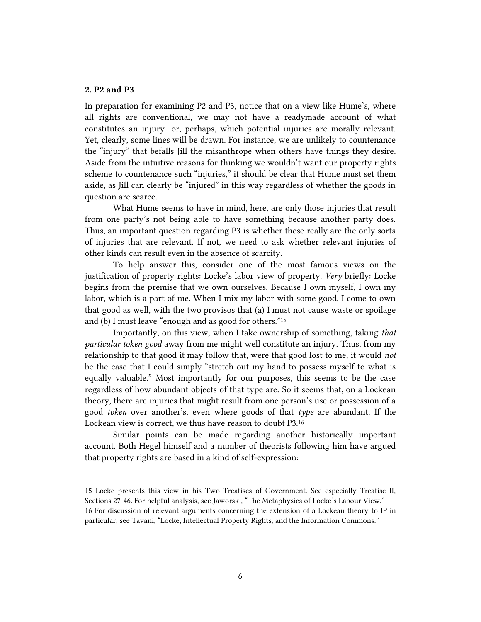### **2. P2 and P3**

In preparation for examining P2 and P3, notice that on a view like Hume's, where all rights are conventional, we may not have a readymade account of what constitutes an injury—or, perhaps, which potential injuries are morally relevant. Yet, clearly, some lines will be drawn. For instance, we are unlikely to countenance the "injury" that befalls Jill the misanthrope when others have things they desire. Aside from the intuitive reasons for thinking we wouldn't want our property rights scheme to countenance such "injuries," it should be clear that Hume must set them aside, as Jill can clearly be "injured" in this way regardless of whether the goods in question are scarce.

What Hume seems to have in mind, here, are only those injuries that result from one party's not being able to have something because another party does. Thus, an important question regarding P3 is whether these really are the only sorts of injuries that are relevant. If not, we need to ask whether relevant injuries of other kinds can result even in the absence of scarcity.

To help answer this, consider one of the most famous views on the justification of property rights: Locke's labor view of property. *Very* briefly: Locke begins from the premise that we own ourselves. Because I own myself, I own my labor, which is a part of me. When I mix my labor with some good, I come to own that good as well, with the two provisos that (a) I must not cause waste or spoilage and (b) I must leave "enough and as good for others."<sup>15</sup>

Importantly, on this view, when I take ownership of something, taking *that particular token good* away from me might well constitute an injury. Thus, from my relationship to that good it may follow that, were that good lost to me, it would *not*  be the case that I could simply "stretch out my hand to possess myself to what is equally valuable." Most importantly for our purposes, this seems to be the case regardless of how abundant objects of that type are. So it seems that, on a Lockean theory, there are injuries that might result from one person's use or possession of a good *token* over another's, even where goods of that *type* are abundant. If the Lockean view is correct, we thus have reason to doubt P3.<sup>16</sup>

Similar points can be made regarding another historically important account. Both Hegel himself and a number of theorists following him have argued that property rights are based in a kind of self-expression:

15 Locke presents this view in his Two Treatises of Government. See especially Treatise II, Sections 27-46. For helpful analysis, see Jaworski, "The Metaphysics of Locke's Labour View." 16 For discussion of relevant arguments concerning the extension of a Lockean theory to IP in particular, see Tavani, "Locke, Intellectual Property Rights, and the Information Commons."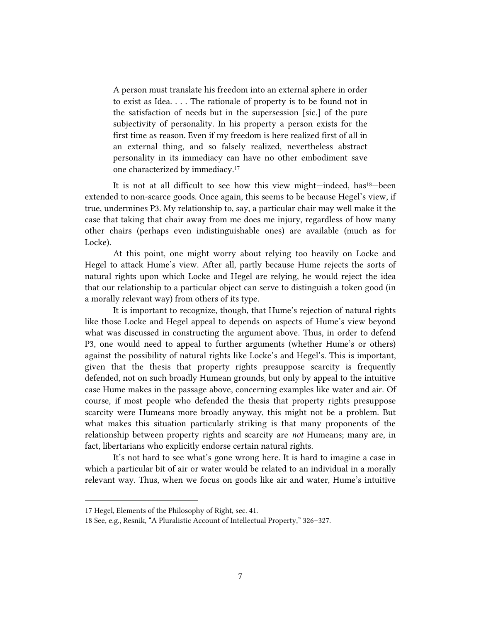A person must translate his freedom into an external sphere in order to exist as Idea. . . . The rationale of property is to be found not in the satisfaction of needs but in the supersession [sic.] of the pure subjectivity of personality. In his property a person exists for the first time as reason. Even if my freedom is here realized first of all in an external thing, and so falsely realized, nevertheless abstract personality in its immediacy can have no other embodiment save one characterized by immediacy.<sup>17</sup>

It is not at all difficult to see how this view might—indeed, has18—been extended to non-scarce goods. Once again, this seems to be because Hegel's view, if true, undermines P3. My relationship to, say, a particular chair may well make it the case that taking that chair away from me does me injury, regardless of how many other chairs (perhaps even indistinguishable ones) are available (much as for Locke).

At this point, one might worry about relying too heavily on Locke and Hegel to attack Hume's view. After all, partly because Hume rejects the sorts of natural rights upon which Locke and Hegel are relying, he would reject the idea that our relationship to a particular object can serve to distinguish a token good (in a morally relevant way) from others of its type.

It is important to recognize, though, that Hume's rejection of natural rights like those Locke and Hegel appeal to depends on aspects of Hume's view beyond what was discussed in constructing the argument above. Thus, in order to defend P3, one would need to appeal to further arguments (whether Hume's or others) against the possibility of natural rights like Locke's and Hegel's. This is important, given that the thesis that property rights presuppose scarcity is frequently defended, not on such broadly Humean grounds, but only by appeal to the intuitive case Hume makes in the passage above, concerning examples like water and air. Of course, if most people who defended the thesis that property rights presuppose scarcity were Humeans more broadly anyway, this might not be a problem. But what makes this situation particularly striking is that many proponents of the relationship between property rights and scarcity are *not* Humeans; many are, in fact, libertarians who explicitly endorse certain natural rights.

It's not hard to see what's gone wrong here. It is hard to imagine a case in which a particular bit of air or water would be related to an individual in a morally relevant way. Thus, when we focus on goods like air and water, Hume's intuitive

<sup>17</sup> Hegel, Elements of the Philosophy of Right, sec. 41.

<sup>18</sup> See, e.g., Resnik, "A Pluralistic Account of Intellectual Property," 326–327.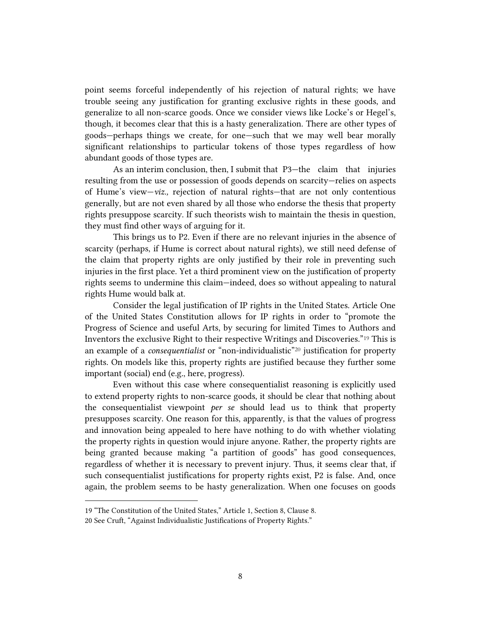point seems forceful independently of his rejection of natural rights; we have trouble seeing any justification for granting exclusive rights in these goods, and generalize to all non-scarce goods. Once we consider views like Locke's or Hegel's, though, it becomes clear that this is a hasty generalization. There are other types of goods—perhaps things we create, for one—such that we may well bear morally significant relationships to particular tokens of those types regardless of how abundant goods of those types are.

As an interim conclusion, then, I submit that P3—the claim that injuries resulting from the use or possession of goods depends on scarcity—relies on aspects of Hume's view—*viz.,* rejection of natural rights—that are not only contentious generally, but are not even shared by all those who endorse the thesis that property rights presuppose scarcity. If such theorists wish to maintain the thesis in question, they must find other ways of arguing for it.

This brings us to P2. Even if there are no relevant injuries in the absence of scarcity (perhaps, if Hume is correct about natural rights), we still need defense of the claim that property rights are only justified by their role in preventing such injuries in the first place. Yet a third prominent view on the justification of property rights seems to undermine this claim—indeed, does so without appealing to natural rights Hume would balk at.

Consider the legal justification of IP rights in the United States. Article One of the United States Constitution allows for IP rights in order to "promote the Progress of Science and useful Arts, by securing for limited Times to Authors and Inventors the exclusive Right to their respective Writings and Discoveries."<sup>19</sup> This is an example of a *consequentialist* or "non-individualistic"<sup>20</sup> justification for property rights. On models like this, property rights are justified because they further some important (social) end (e.g., here, progress).

Even without this case where consequentialist reasoning is explicitly used to extend property rights to non-scarce goods, it should be clear that nothing about the consequentialist viewpoint *per se* should lead us to think that property presupposes scarcity. One reason for this, apparently, is that the values of progress and innovation being appealed to here have nothing to do with whether violating the property rights in question would injure anyone. Rather, the property rights are being granted because making "a partition of goods" has good consequences, regardless of whether it is necessary to prevent injury. Thus, it seems clear that, if such consequentialist justifications for property rights exist, P2 is false. And, once again, the problem seems to be hasty generalization. When one focuses on goods

<sup>19</sup> "The Constitution of the United States," Article 1, Section 8, Clause 8.

<sup>20</sup> See Cruft, "Against Individualistic Justifications of Property Rights."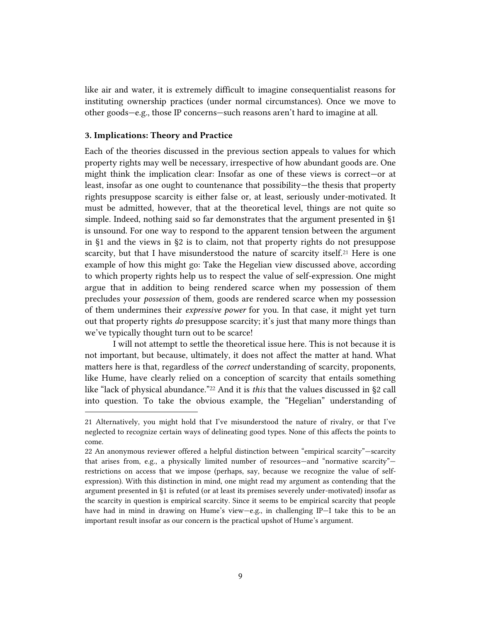like air and water, it is extremely difficult to imagine consequentialist reasons for instituting ownership practices (under normal circumstances). Once we move to other goods—e.g., those IP concerns—such reasons aren't hard to imagine at all.

#### **3. Implications: Theory and Practice**

Each of the theories discussed in the previous section appeals to values for which property rights may well be necessary, irrespective of how abundant goods are. One might think the implication clear: Insofar as one of these views is correct—or at least, insofar as one ought to countenance that possibility—the thesis that property rights presuppose scarcity is either false or, at least, seriously under-motivated. It must be admitted, however, that at the theoretical level, things are not quite so simple. Indeed, nothing said so far demonstrates that the argument presented in §1 is unsound. For one way to respond to the apparent tension between the argument in §1 and the views in §2 is to claim, not that property rights do not presuppose scarcity, but that I have misunderstood the nature of scarcity itself.<sup>21</sup> Here is one example of how this might go: Take the Hegelian view discussed above, according to which property rights help us to respect the value of self-expression. One might argue that in addition to being rendered scarce when my possession of them precludes your *possession* of them*,* goods are rendered scarce when my possession of them undermines their *expressive power* for you. In that case, it might yet turn out that property rights *do* presuppose scarcity; it's just that many more things than we've typically thought turn out to be scarce!

I will not attempt to settle the theoretical issue here. This is not because it is not important, but because, ultimately, it does not affect the matter at hand. What matters here is that, regardless of the *correct* understanding of scarcity, proponents, like Hume, have clearly relied on a conception of scarcity that entails something like "lack of physical abundance." <sup>22</sup> And it is *this* that the values discussed in §2 call into question. To take the obvious example, the "Hegelian" understanding of

<sup>21</sup> Alternatively, you might hold that I've misunderstood the nature of rivalry, or that I've neglected to recognize certain ways of delineating good types. None of this affects the points to come.

<sup>22</sup> An anonymous reviewer offered a helpful distinction between "empirical scarcity"—scarcity that arises from, e.g., a physically limited number of resources—and "normative scarcity" restrictions on access that we impose (perhaps, say, because we recognize the value of selfexpression). With this distinction in mind, one might read my argument as contending that the argument presented in §1 is refuted (or at least its premises severely under-motivated) insofar as the scarcity in question is empirical scarcity. Since it seems to be empirical scarcity that people have had in mind in drawing on Hume's view—e.g., in challenging IP—I take this to be an important result insofar as our concern is the practical upshot of Hume's argument.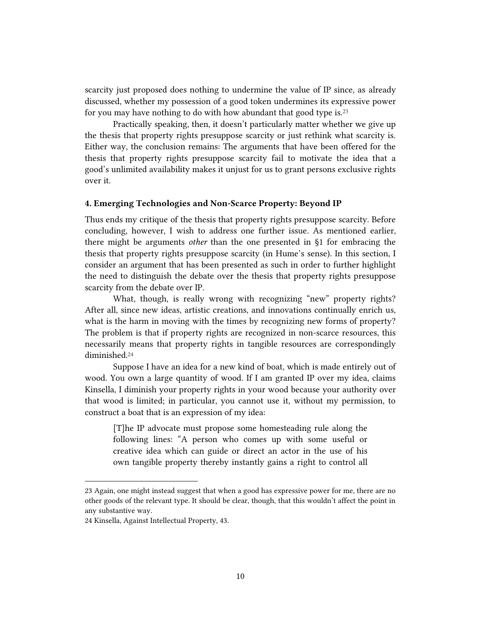scarcity just proposed does nothing to undermine the value of IP since, as already discussed, whether my possession of a good token undermines its expressive power for you may have nothing to do with how abundant that good type is.<sup>23</sup>

Practically speaking, then, it doesn't particularly matter whether we give up the thesis that property rights presuppose scarcity or just rethink what scarcity is. Either way, the conclusion remains: The arguments that have been offered for the thesis that property rights presuppose scarcity fail to motivate the idea that a good's unlimited availability makes it unjust for us to grant persons exclusive rights over it.

#### **4. Emerging Technologies and Non-Scarce Property: Beyond IP**

Thus ends my critique of the thesis that property rights presuppose scarcity. Before concluding, however, I wish to address one further issue. As mentioned earlier, there might be arguments *other* than the one presented in §1 for embracing the thesis that property rights presuppose scarcity (in Hume's sense). In this section, I consider an argument that has been presented as such in order to further highlight the need to distinguish the debate over the thesis that property rights presuppose scarcity from the debate over IP.

What, though, is really wrong with recognizing "new" property rights? After all, since new ideas, artistic creations, and innovations continually enrich us, what is the harm in moving with the times by recognizing new forms of property? The problem is that if property rights are recognized in non-scarce resources, this necessarily means that property rights in tangible resources are correspondingly diminished.<sup>24</sup>

Suppose I have an idea for a new kind of boat, which is made entirely out of wood. You own a large quantity of wood. If I am granted IP over my idea, claims Kinsella, I diminish your property rights in your wood because your authority over that wood is limited; in particular, you cannot use it, without my permission, to construct a boat that is an expression of my idea:

[T]he IP advocate must propose some homesteading rule along the following lines: "A person who comes up with some useful or creative idea which can guide or direct an actor in the use of his own tangible property thereby instantly gains a right to control all

<sup>23</sup> Again, one might instead suggest that when a good has expressive power for me, there are no other goods of the relevant type. It should be clear, though, that this wouldn't affect the point in any substantive way.

<sup>24</sup> Kinsella, Against Intellectual Property, 43.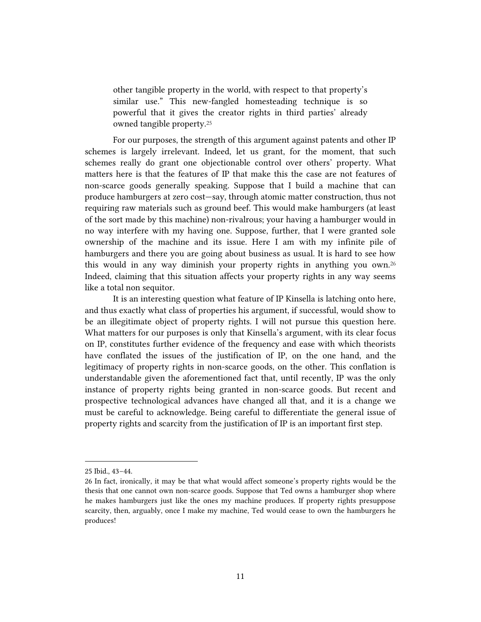other tangible property in the world, with respect to that property's similar use." This new-fangled homesteading technique is so powerful that it gives the creator rights in third parties' already owned tangible property.<sup>25</sup>

For our purposes, the strength of this argument against patents and other IP schemes is largely irrelevant. Indeed, let us grant, for the moment, that such schemes really do grant one objectionable control over others' property. What matters here is that the features of IP that make this the case are not features of non-scarce goods generally speaking. Suppose that I build a machine that can produce hamburgers at zero cost—say, through atomic matter construction, thus not requiring raw materials such as ground beef. This would make hamburgers (at least of the sort made by this machine) non-rivalrous; your having a hamburger would in no way interfere with my having one. Suppose, further, that I were granted sole ownership of the machine and its issue. Here I am with my infinite pile of hamburgers and there you are going about business as usual. It is hard to see how this would in any way diminish your property rights in anything you own.<sup>26</sup> Indeed, claiming that this situation affects your property rights in any way seems like a total non sequitor.

It is an interesting question what feature of IP Kinsella is latching onto here, and thus exactly what class of properties his argument, if successful, would show to be an illegitimate object of property rights. I will not pursue this question here. What matters for our purposes is only that Kinsella's argument, with its clear focus on IP, constitutes further evidence of the frequency and ease with which theorists have conflated the issues of the justification of IP, on the one hand, and the legitimacy of property rights in non-scarce goods, on the other. This conflation is understandable given the aforementioned fact that, until recently, IP was the only instance of property rights being granted in non-scarce goods. But recent and prospective technological advances have changed all that, and it is a change we must be careful to acknowledge. Being careful to differentiate the general issue of property rights and scarcity from the justification of IP is an important first step.

<sup>25</sup> Ibid., 43–44.

<sup>26</sup> In fact, ironically, it may be that what would affect someone's property rights would be the thesis that one cannot own non-scarce goods. Suppose that Ted owns a hamburger shop where he makes hamburgers just like the ones my machine produces. If property rights presuppose scarcity, then, arguably, once I make my machine, Ted would cease to own the hamburgers he produces!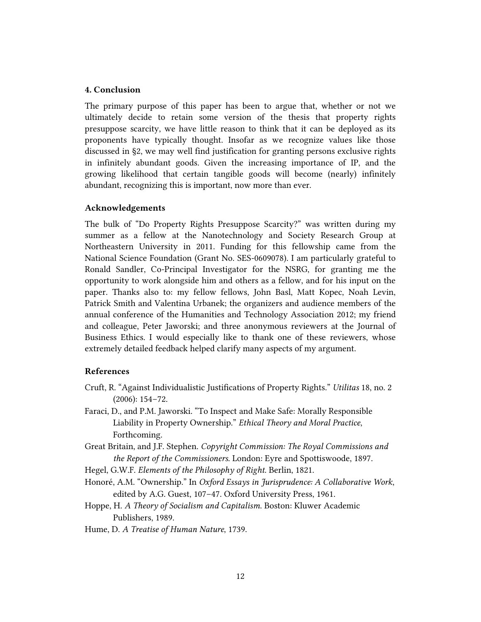# **4. Conclusion**

The primary purpose of this paper has been to argue that, whether or not we ultimately decide to retain some version of the thesis that property rights presuppose scarcity, we have little reason to think that it can be deployed as its proponents have typically thought. Insofar as we recognize values like those discussed in §2, we may well find justification for granting persons exclusive rights in infinitely abundant goods. Given the increasing importance of IP, and the growing likelihood that certain tangible goods will become (nearly) infinitely abundant, recognizing this is important, now more than ever.

## **Acknowledgements**

The bulk of "Do Property Rights Presuppose Scarcity?" was written during my summer as a fellow at the Nanotechnology and Society Research Group at Northeastern University in 2011. Funding for this fellowship came from the National Science Foundation (Grant No. SES-0609078). I am particularly grateful to Ronald Sandler, Co-Principal Investigator for the NSRG, for granting me the opportunity to work alongside him and others as a fellow, and for his input on the paper. Thanks also to: my fellow fellows, John Basl, Matt Kopec, Noah Levin, Patrick Smith and Valentina Urbanek; the organizers and audience members of the annual conference of the Humanities and Technology Association 2012; my friend and colleague, Peter Jaworski; and three anonymous reviewers at the Journal of Business Ethics. I would especially like to thank one of these reviewers, whose extremely detailed feedback helped clarify many aspects of my argument.

# **References**

- Cruft, R. "Against Individualistic Justifications of Property Rights." *Utilitas* 18, no. 2 (2006): 154–72.
- Faraci, D., and P.M. Jaworski. "To Inspect and Make Safe: Morally Responsible Liability in Property Ownership." *Ethical Theory and Moral Practice*, Forthcoming.
- Great Britain, and J.F. Stephen. *Copyright Commission: The Royal Commissions and the Report of the Commissioners*. London: Eyre and Spottiswoode, 1897.

Hegel, G.W.F. *Elements of the Philosophy of Right*. Berlin, 1821.

Honoré, A.M. "Ownership." In *Oxford Essays in Jurisprudence: A Collaborative Work*, edited by A.G. Guest, 107–47. Oxford University Press, 1961.

Hoppe, H. *A Theory of Socialism and Capitalism*. Boston: Kluwer Academic Publishers, 1989.

Hume, D. *A Treatise of Human Nature*, 1739.